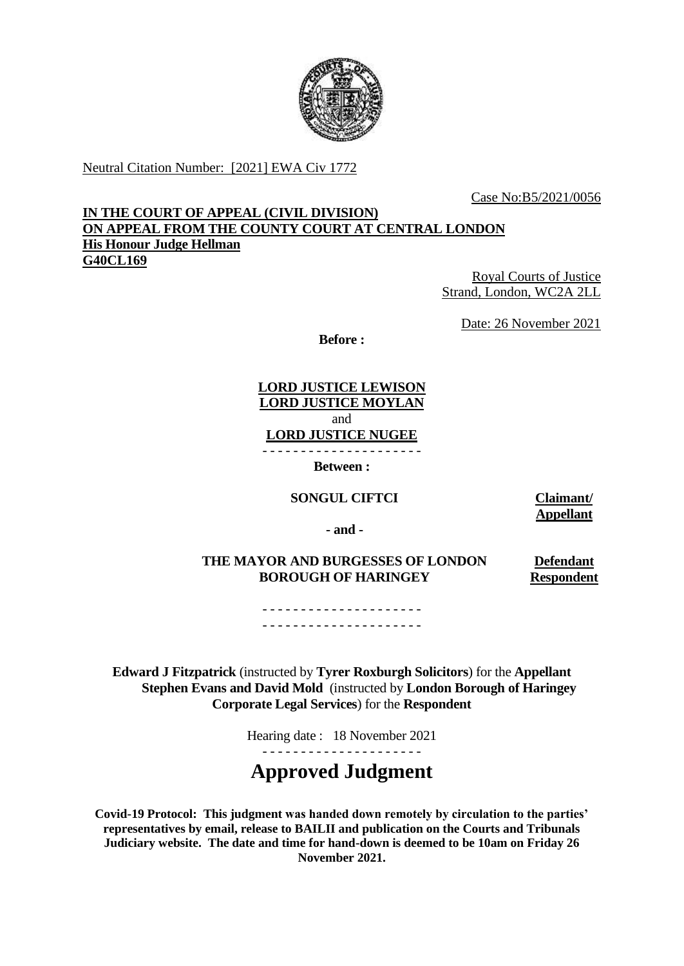

Neutral Citation Number: [2021] EWA Civ 1772

Case No:B5/2021/0056

## **IN THE COURT OF APPEAL (CIVIL DIVISION) ON APPEAL FROM THE COUNTY COURT AT CENTRAL LONDON His Honour Judge Hellman G40CL169**

Royal Courts of Justice Strand, London, WC2A 2LL

Date: 26 November 2021

**Before :** 

 **LORD JUSTICE LEWISON LORD JUSTICE MOYLAN LORD JUSTICE NUGEE** - - - - - - - - - - - - - - - - - - - - and

**Between :**

**SONGUL CIFTCI Claimant/** 

**Appellant** 

**- and -**

 **THE MAYOR AND BURGESSES OF LONDON Defendant BOROUGH OF HARINGEY Respondent** 

- - - - - - - - - - - - - - - - - - - - - - - - - - - - - - - - - - - - - - - - - -

 **Edward J Fitzpatrick** (instructed by **Tyrer Roxburgh Solicitors**) for the **Appellant Stephen Evans and David Mold** (instructed by **London Borough of Haringey Corporate Legal Services**) for the **Respondent** 

Hearing date : 18 November 2021

# **Approved Judgment**

 **Judiciary website. The date and time for hand-down is deemed to be 10am on Friday 26 Covid-19 Protocol: This judgment was handed down remotely by circulation to the parties' representatives by email, release to BAILII and publication on the Courts and Tribunals November 2021.**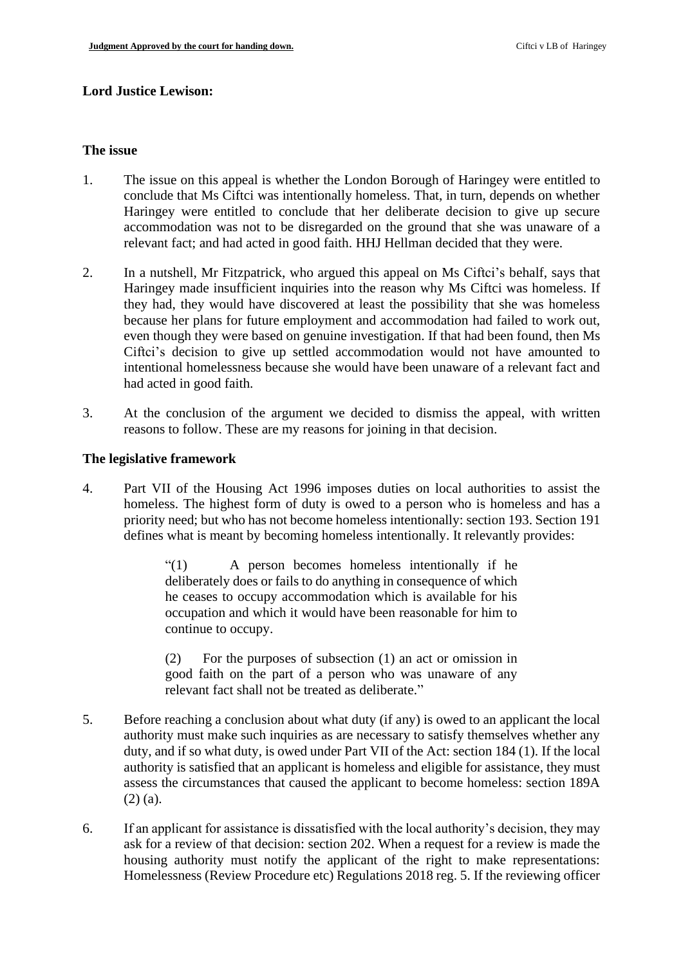## **Lord Justice Lewison:**

#### **The issue**

- 1. The issue on this appeal is whether the London Borough of Haringey were entitled to Haringey were entitled to conclude that her deliberate decision to give up secure accommodation was not to be disregarded on the ground that she was unaware of a conclude that Ms Ciftci was intentionally homeless. That, in turn, depends on whether relevant fact; and had acted in good faith. HHJ Hellman decided that they were.
- intentional homelessness because she would have been unaware of a relevant fact and 2. In a nutshell, Mr Fitzpatrick, who argued this appeal on Ms Ciftci's behalf, says that Haringey made insufficient inquiries into the reason why Ms Ciftci was homeless. If they had, they would have discovered at least the possibility that she was homeless because her plans for future employment and accommodation had failed to work out, even though they were based on genuine investigation. If that had been found, then Ms Ciftci's decision to give up settled accommodation would not have amounted to had acted in good faith.
- 3. At the conclusion of the argument we decided to dismiss the appeal, with written reasons to follow. These are my reasons for joining in that decision.

#### **The legislative framework**

 priority need; but who has not become homeless intentionally: section 193. Section 191 4. Part VII of the Housing Act 1996 imposes duties on local authorities to assist the homeless. The highest form of duty is owed to a person who is homeless and has a defines what is meant by becoming homeless intentionally. It relevantly provides:

> $(1)$  deliberately does or fails to do anything in consequence of which he ceases to occupy accommodation which is available for his occupation and which it would have been reasonable for him to A person becomes homeless intentionally if he continue to occupy.

> $(2)$  good faith on the part of a person who was unaware of any For the purposes of subsection  $(1)$  an act or omission in relevant fact shall not be treated as deliberate."

- authority must make such inquiries as are necessary to satisfy themselves whether any duty, and if so what duty, is owed under Part VII of the Act: section 184 (1). If the local authority is satisfied that an applicant is homeless and eligible for assistance, they must assess the circumstances that caused the applicant to become homeless: section 189A 5. Before reaching a conclusion about what duty (if any) is owed to an applicant the local (2) (a).
- 6. If an applicant for assistance is dissatisfied with the local authority's decision, they may Homelessness (Review Procedure etc) Regulations 2018 reg. 5. If the reviewing officer ask for a review of that decision: section 202. When a request for a review is made the housing authority must notify the applicant of the right to make representations: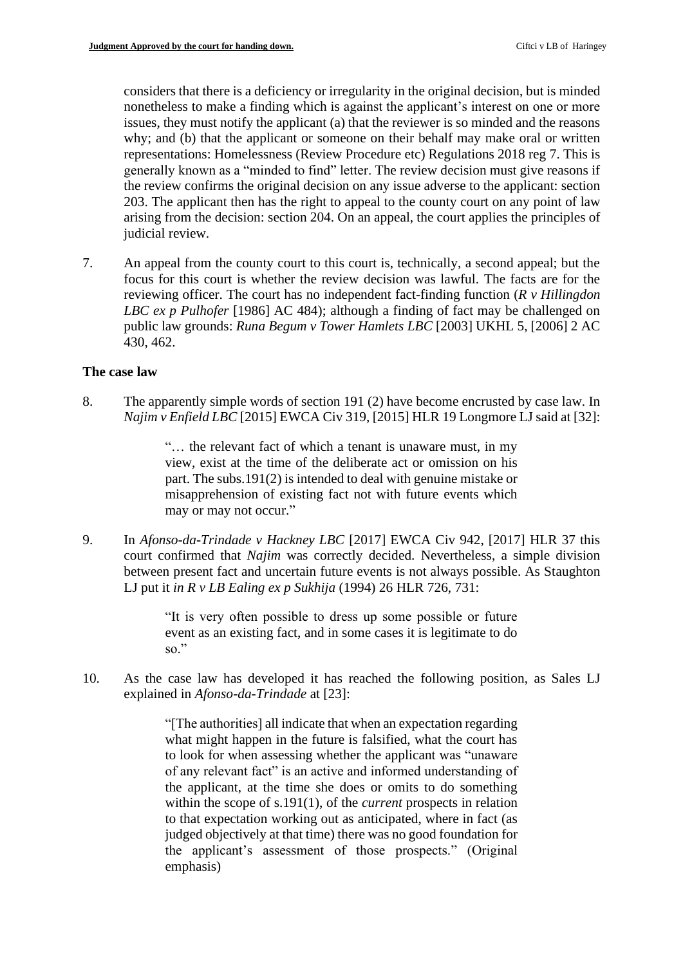considers that there is a deficiency or irregularity in the original decision, but is minded nonetheless to make a finding which is against the applicant's interest on one or more issues, they must notify the applicant (a) that the reviewer is so minded and the reasons representations: Homelessness (Review Procedure etc) Regulations 2018 reg 7. This is generally known as a "minded to find" letter. The review decision must give reasons if the review confirms the original decision on any issue adverse to the applicant: section 203. The applicant then has the right to appeal to the county court on any point of law arising from the decision: section 204. On an appeal, the court applies the principles of why; and (b) that the applicant or someone on their behalf may make oral or written judicial review.

7. An appeal from the county court to this court is, technically, a second appeal; but the focus for this court is whether the review decision was lawful. The facts are for the reviewing officer. The court has no independent fact-finding function (*R v Hillingdon LBC ex p Pulhofer* [1986] AC 484); although a finding of fact may be challenged on public law grounds: *Runa Begum v Tower Hamlets LBC* [2003] UKHL 5, [2006] 2 AC 430, 462.

## **The case law**

8. The apparently simple words of section 191 (2) have become encrusted by case law. In  *Najim v Enfield LBC* [2015] EWCA Civ 319, [2015] HLR 19 Longmore LJ said at [32]:

> "… the relevant fact of which a tenant is unaware must, in my view, exist at the time of the deliberate act or omission on his part. The subs.191(2) is intended to deal with genuine mistake or misapprehension of existing fact not with future events which may or may not occur."

9. In *Afonso-da-Trindade v Hackney LBC* [2017] EWCA Civ 942, [2017] HLR 37 this court confirmed that *Najim* was correctly decided. Nevertheless, a simple division between present fact and uncertain future events is not always possible. As Staughton LJ put it *in R v LB Ealing ex p Sukhija* (1994) 26 HLR 726, 731:

> "It is very often possible to dress up some possible or future event as an existing fact, and in some cases it is legitimate to do so."

 10. As the case law has developed it has reached the following position, as Sales LJ explained in *Afonso-da-Trindade* at [23]:

> "[The authorities] all indicate that when an expectation regarding the applicant, at the time she does or omits to do something to that expectation working out as anticipated, where in fact (as judged objectively at that time) there was no good foundation for what might happen in the future is falsified, what the court has to look for when assessing whether the applicant was "unaware of any relevant fact" is an active and informed understanding of within the scope of s.191(1), of the *current* prospects in relation the applicant's assessment of those prospects." (Original emphasis)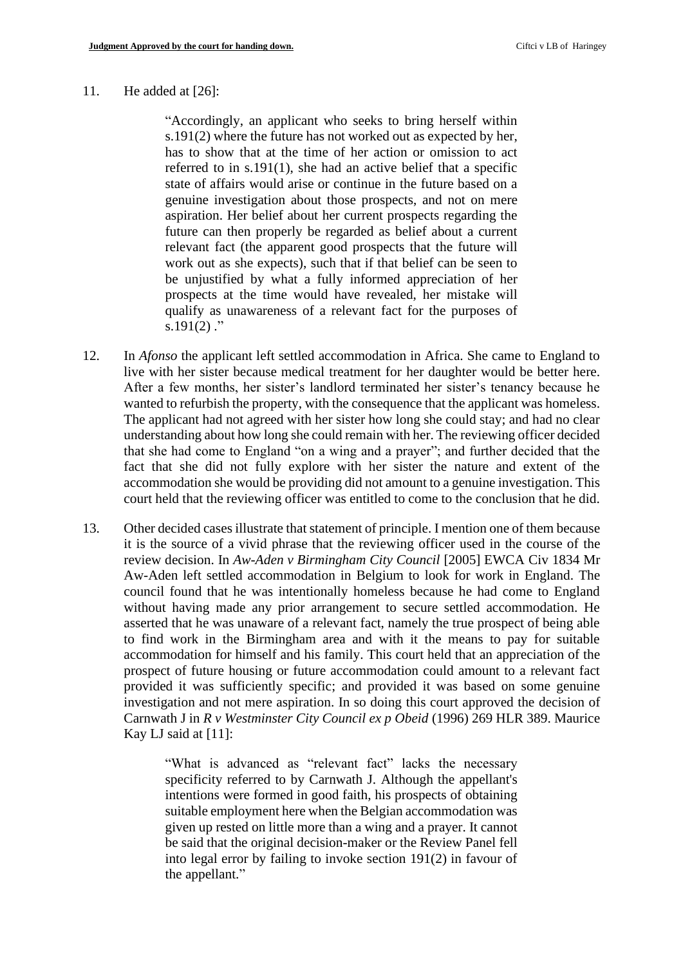#### 11. He added at  $[26]$ :

 s.191(2) where the future has not worked out as expected by her, referred to in s.191(1), she had an active belief that a specific state of affairs would arise or continue in the future based on a future can then properly be regarded as belief about a current relevant fact (the apparent good prospects that the future will work out as she expects), such that if that belief can be seen to prospects at the time would have revealed, her mistake will "Accordingly, an applicant who seeks to bring herself within has to show that at the time of her action or omission to act genuine investigation about those prospects, and not on mere aspiration. Her belief about her current prospects regarding the be unjustified by what a fully informed appreciation of her qualify as unawareness of a relevant fact for the purposes of s.191 $(2)$ ."

- 12. In *Afonso* the applicant left settled accommodation in Africa. She came to England to live with her sister because medical treatment for her daughter would be better here. After a few months, her sister's landlord terminated her sister's tenancy because he wanted to refurbish the property, with the consequence that the applicant was homeless. that she had come to England "on a wing and a prayer"; and further decided that the fact that she did not fully explore with her sister the nature and extent of the accommodation she would be providing did not amount to a genuine investigation. This court held that the reviewing officer was entitled to come to the conclusion that he did. The applicant had not agreed with her sister how long she could stay; and had no clear understanding about how long she could remain with her. The reviewing officer decided
- 13. Other decided cases illustrate that statement of principle. I mention one of them because it is the source of a vivid phrase that the reviewing officer used in the course of the council found that he was intentionally homeless because he had come to England without having made any prior arrangement to secure settled accommodation. He asserted that he was unaware of a relevant fact, namely the true prospect of being able to find work in the Birmingham area and with it the means to pay for suitable prospect of future housing or future accommodation could amount to a relevant fact  Carnwath J in *R v Westminster City Council ex p Obeid* (1996) 269 HLR 389. Maurice review decision. In *Aw-Aden v Birmingham City Council* [2005] EWCA Civ 1834 Mr Aw-Aden left settled accommodation in Belgium to look for work in England. The accommodation for himself and his family. This court held that an appreciation of the provided it was sufficiently specific; and provided it was based on some genuine investigation and not mere aspiration. In so doing this court approved the decision of Kay LJ said at [11]:

 specificity referred to by Carnwath J. Although the appellant's given up rested on little more than a wing and a prayer. It cannot be said that the original decision-maker or the Review Panel fell into legal error by failing to invoke section 191(2) in favour of "What is advanced as "relevant fact" lacks the necessary intentions were formed in good faith, his prospects of obtaining suitable employment here when the Belgian accommodation was the appellant."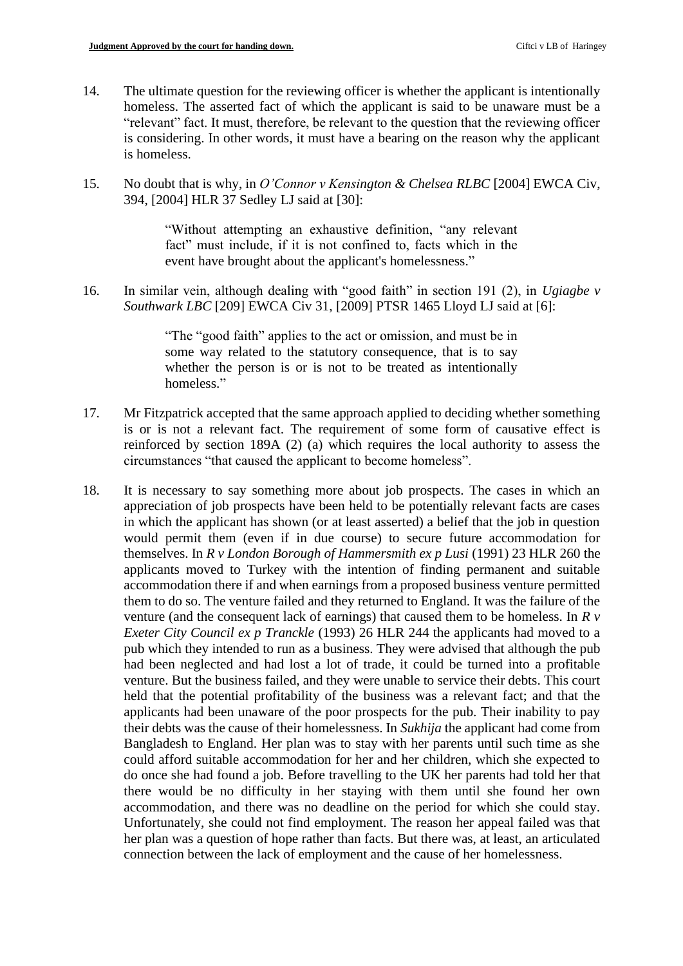- homeless. The asserted fact of which the applicant is said to be unaware must be a is considering. In other words, it must have a bearing on the reason why the applicant 14. The ultimate question for the reviewing officer is whether the applicant is intentionally "relevant" fact. It must, therefore, be relevant to the question that the reviewing officer is homeless.
- 15. No doubt that is why, in *O'Connor v Kensington & Chelsea RLBC* [2004] EWCA Civ, 394, [2004] HLR 37 Sedley LJ said at [30]:

 "Without attempting an exhaustive definition, "any relevant fact" must include, if it is not confined to, facts which in the event have brought about the applicant's homelessness."

16. In similar vein, although dealing with "good faith" in section 191 (2), in *Ugiagbe v Southwark LBC* [209] EWCA Civ 31, [2009] PTSR 1465 Lloyd LJ said at [6]:

> "The "good faith" applies to the act or omission, and must be in whether the person is or is not to be treated as intentionally some way related to the statutory consequence, that is to say homeless."

- 17. Mr Fitzpatrick accepted that the same approach applied to deciding whether something is or is not a relevant fact. The requirement of some form of causative effect is reinforced by section 189A (2) (a) which requires the local authority to assess the circumstances "that caused the applicant to become homeless".
- 18. It is necessary to say something more about job prospects. The cases in which an appreciation of job prospects have been held to be potentially relevant facts are cases in which the applicant has shown (or at least asserted) a belief that the job in question themselves. In *R v London Borough of Hammersmith ex p Lusi* (1991) 23 HLR 260 the accommodation there if and when earnings from a proposed business venture permitted them to do so. The venture failed and they returned to England. It was the failure of the venture (and the consequent lack of earnings) that caused them to be homeless. In *R v Exeter City Council ex p Tranckle* (1993) 26 HLR 244 the applicants had moved to a had been neglected and had lost a lot of trade, it could be turned into a profitable venture. But the business failed, and they were unable to service their debts. This court their debts was the cause of their homelessness. In *Sukhija* the applicant had come from Bangladesh to England. Her plan was to stay with her parents until such time as she could afford suitable accommodation for her and her children, which she expected to do once she had found a job. Before travelling to the UK her parents had told her that accommodation, and there was no deadline on the period for which she could stay. Unfortunately, she could not find employment. The reason her appeal failed was that would permit them (even if in due course) to secure future accommodation for applicants moved to Turkey with the intention of finding permanent and suitable pub which they intended to run as a business. They were advised that although the pub held that the potential profitability of the business was a relevant fact; and that the applicants had been unaware of the poor prospects for the pub. Their inability to pay there would be no difficulty in her staying with them until she found her own her plan was a question of hope rather than facts. But there was, at least, an articulated connection between the lack of employment and the cause of her homelessness.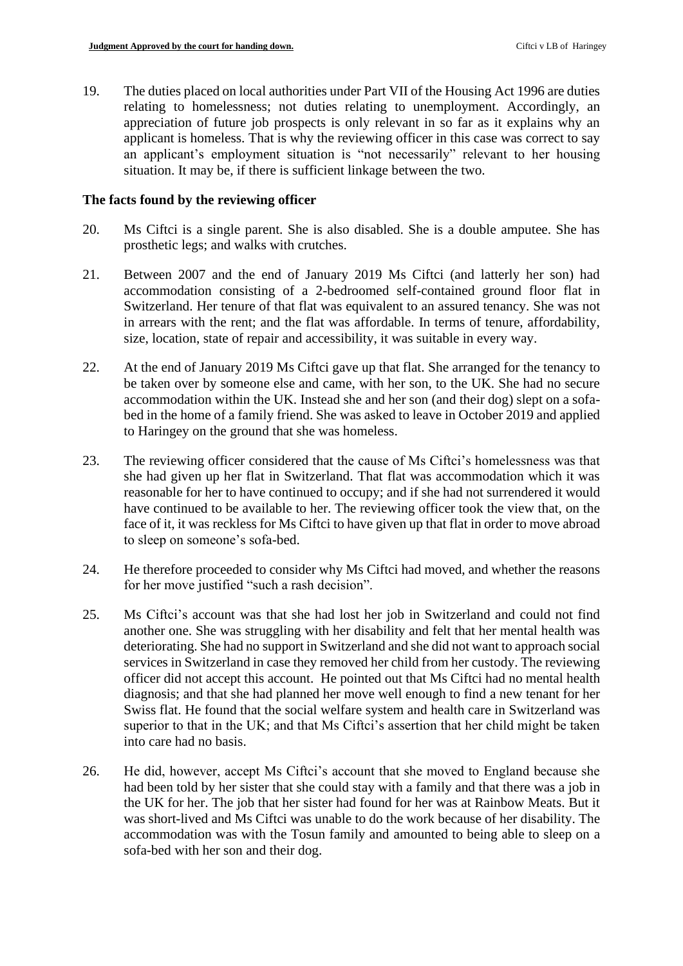19. The duties placed on local authorities under Part VII of the Housing Act 1996 are duties relating to homelessness; not duties relating to unemployment. Accordingly, an appreciation of future job prospects is only relevant in so far as it explains why an applicant is homeless. That is why the reviewing officer in this case was correct to say an applicant's employment situation is "not necessarily" relevant to her housing situation. It may be, if there is sufficient linkage between the two.

#### **The facts found by the reviewing officer**

- 20. Ms Ciftci is a single parent. She is also disabled. She is a double amputee. She has prosthetic legs; and walks with crutches.
- 21. Between 2007 and the end of January 2019 Ms Ciftci (and latterly her son) had accommodation consisting of a 2-bedroomed self-contained ground floor flat in Switzerland. Her tenure of that flat was equivalent to an assured tenancy. She was not in arrears with the rent; and the flat was affordable. In terms of tenure, affordability, size, location, state of repair and accessibility, it was suitable in every way.
- accommodation within the UK. Instead she and her son (and their dog) slept on a sofa- bed in the home of a family friend. She was asked to leave in October 2019 and applied 22. At the end of January 2019 Ms Ciftci gave up that flat. She arranged for the tenancy to be taken over by someone else and came, with her son, to the UK. She had no secure to Haringey on the ground that she was homeless.
- 23. The reviewing officer considered that the cause of Ms Ciftci's homelessness was that she had given up her flat in Switzerland. That flat was accommodation which it was reasonable for her to have continued to occupy; and if she had not surrendered it would face of it, it was reckless for Ms Ciftci to have given up that flat in order to move abroad have continued to be available to her. The reviewing officer took the view that, on the to sleep on someone's sofa-bed.
- 24. He therefore proceeded to consider why Ms Ciftci had moved, and whether the reasons for her move justified "such a rash decision".
- 25. Ms Ciftci's account was that she had lost her job in Switzerland and could not find deteriorating. She had no support in Switzerland and she did not want to approach social services in Switzerland in case they removed her child from her custody. The reviewing diagnosis; and that she had planned her move well enough to find a new tenant for her Swiss flat. He found that the social welfare system and health care in Switzerland was superior to that in the UK; and that Ms Ciftci's assertion that her child might be taken another one. She was struggling with her disability and felt that her mental health was officer did not accept this account. He pointed out that Ms Ciftci had no mental health into care had no basis.
- 26. He did, however, accept Ms Ciftci's account that she moved to England because she the UK for her. The job that her sister had found for her was at Rainbow Meats. But it was short-lived and Ms Ciftci was unable to do the work because of her disability. The had been told by her sister that she could stay with a family and that there was a job in accommodation was with the Tosun family and amounted to being able to sleep on a sofa-bed with her son and their dog.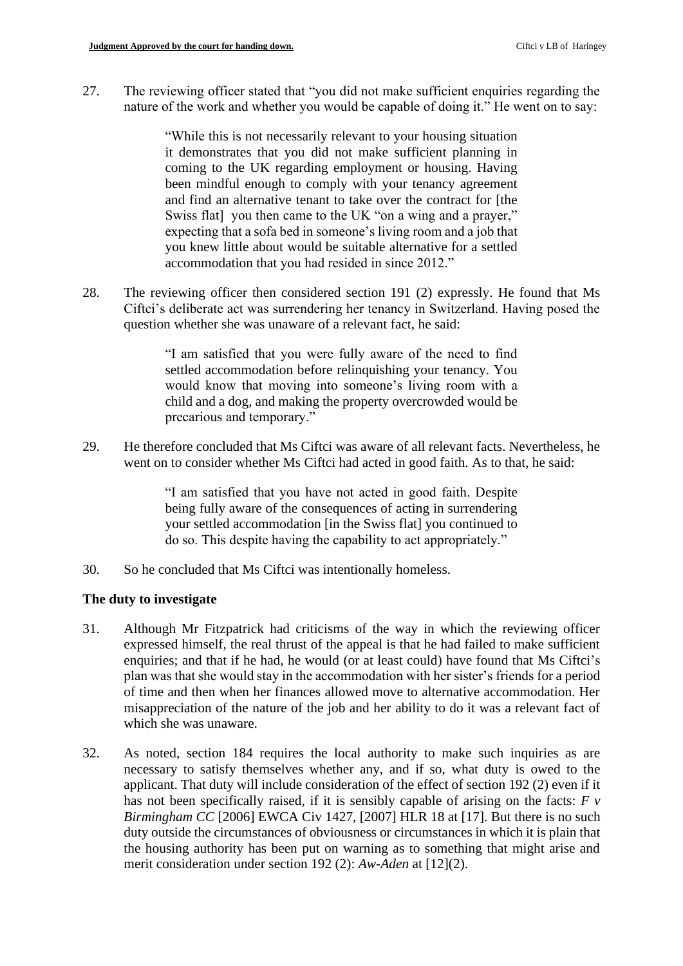27. The reviewing officer stated that "you did not make sufficient enquiries regarding the nature of the work and whether you would be capable of doing it." He went on to say:

> it demonstrates that you did not make sufficient planning in and find an alternative tenant to take over the contract for [the Swiss flat] you then came to the UK "on a wing and a prayer," expecting that a sofa bed in someone's living room and a job that you knew little about would be suitable alternative for a settled "While this is not necessarily relevant to your housing situation coming to the UK regarding employment or housing. Having been mindful enough to comply with your tenancy agreement accommodation that you had resided in since 2012."

 Ciftci's deliberate act was surrendering her tenancy in Switzerland. Having posed the 28. The reviewing officer then considered section 191 (2) expressly. He found that Ms question whether she was unaware of a relevant fact, he said:

> "I am satisfied that you were fully aware of the need to find settled accommodation before relinquishing your tenancy. You would know that moving into someone's living room with a child and a dog, and making the property overcrowded would be precarious and temporary."

 29. He therefore concluded that Ms Ciftci was aware of all relevant facts. Nevertheless, he went on to consider whether Ms Ciftci had acted in good faith. As to that, he said:

> "I am satisfied that you have not acted in good faith. Despite being fully aware of the consequences of acting in surrendering your settled accommodation [in the Swiss flat] you continued to do so. This despite having the capability to act appropriately."

30. So he concluded that Ms Ciftci was intentionally homeless.

## **The duty to investigate**

- expressed himself, the real thrust of the appeal is that he had failed to make sufficient enquiries; and that if he had, he would (or at least could) have found that Ms Ciftci's plan was that she would stay in the accommodation with her sister's friends for a period of time and then when her finances allowed move to alternative accommodation. Her misappreciation of the nature of the job and her ability to do it was a relevant fact of 31. Although Mr Fitzpatrick had criticisms of the way in which the reviewing officer which she was unaware.
- applicant. That duty will include consideration of the effect of section 192 (2) even if it has not been specifically raised, if it is sensibly capable of arising on the facts: *F v*  the housing authority has been put on warning as to something that might arise and 32. As noted, section 184 requires the local authority to make such inquiries as are necessary to satisfy themselves whether any, and if so, what duty is owed to the *Birmingham CC* [2006] EWCA Civ 1427, [2007] HLR 18 at [17]. But there is no such duty outside the circumstances of obviousness or circumstances in which it is plain that merit consideration under section 192 (2): *Aw-Aden* at [12](2).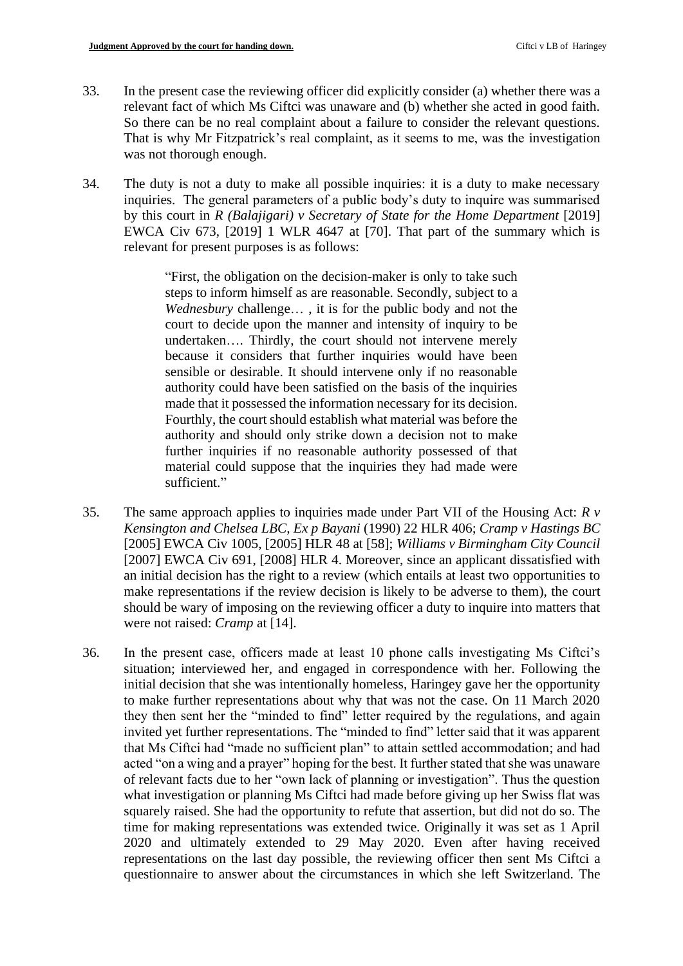- 33. In the present case the reviewing officer did explicitly consider (a) whether there was a relevant fact of which Ms Ciftci was unaware and (b) whether she acted in good faith. So there can be no real complaint about a failure to consider the relevant questions. That is why Mr Fitzpatrick's real complaint, as it seems to me, was the investigation was not thorough enough.
- 34. The duty is not a duty to make all possible inquiries: it is a duty to make necessary inquiries. The general parameters of a public body's duty to inquire was summarised by this court in *R (Balajigari) v Secretary of State for the Home Department* [2019] EWCA Civ 673, [2019] 1 WLR 4647 at [70]. That part of the summary which is relevant for present purposes is as follows:

 "First, the obligation on the decision-maker is only to take such *Wednesbury* challenge… , it is for the public body and not the undertaken…. Thirdly, the court should not intervene merely because it considers that further inquiries would have been made that it possessed the information necessary for its decision. Fourthly, the court should establish what material was before the material could suppose that the inquiries they had made were steps to inform himself as are reasonable. Secondly, subject to a court to decide upon the manner and intensity of inquiry to be sensible or desirable. It should intervene only if no reasonable authority could have been satisfied on the basis of the inquiries authority and should only strike down a decision not to make further inquiries if no reasonable authority possessed of that sufficient."

- 35. The same approach applies to inquiries made under Part VII of the Housing Act:  $R v$  *Kensington and Chelsea LBC, Ex p Bayani* (1990) 22 HLR 406; *Cramp v Hastings BC*  [2005] EWCA Civ 1005, [2005] HLR 48 at [58]; *Williams v Birmingham City Council*  [2007] EWCA Civ 691, [2008] HLR 4. Moreover, since an applicant dissatisfied with an initial decision has the right to a review (which entails at least two opportunities to make representations if the review decision is likely to be adverse to them), the court should be wary of imposing on the reviewing officer a duty to inquire into matters that were not raised: *Cramp* at [14].
- to make further representations about why that was not the case. On 11 March 2020 they then sent her the "minded to find" letter required by the regulations, and again acted "on a wing and a prayer" hoping for the best. It further stated that she was unaware of relevant facts due to her "own lack of planning or investigation". Thus the question what investigation or planning Ms Ciftci had made before giving up her Swiss flat was 36. In the present case, officers made at least 10 phone calls investigating Ms Ciftci's situation; interviewed her, and engaged in correspondence with her. Following the initial decision that she was intentionally homeless, Haringey gave her the opportunity invited yet further representations. The "minded to find" letter said that it was apparent that Ms Ciftci had "made no sufficient plan" to attain settled accommodation; and had squarely raised. She had the opportunity to refute that assertion, but did not do so. The time for making representations was extended twice. Originally it was set as 1 April 2020 and ultimately extended to 29 May 2020. Even after having received representations on the last day possible, the reviewing officer then sent Ms Ciftci a questionnaire to answer about the circumstances in which she left Switzerland. The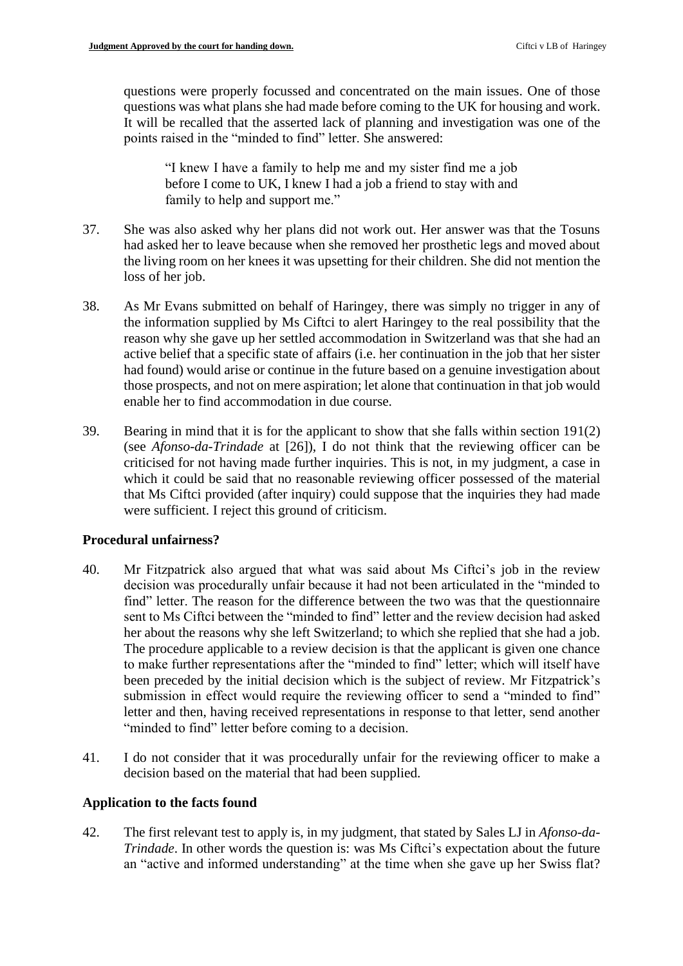questions were properly focussed and concentrated on the main issues. One of those questions was what plans she had made before coming to the UK for housing and work. It will be recalled that the asserted lack of planning and investigation was one of the points raised in the "minded to find" letter. She answered:

 "I knew I have a family to help me and my sister find me a job before I come to UK, I knew I had a job a friend to stay with and family to help and support me."

- had asked her to leave because when she removed her prosthetic legs and moved about 37. She was also asked why her plans did not work out. Her answer was that the Tosuns the living room on her knees it was upsetting for their children. She did not mention the loss of her job.
- active belief that a specific state of affairs (i.e. her continuation in the job that her sister had found) would arise or continue in the future based on a genuine investigation about 38. As Mr Evans submitted on behalf of Haringey, there was simply no trigger in any of the information supplied by Ms Ciftci to alert Haringey to the real possibility that the reason why she gave up her settled accommodation in Switzerland was that she had an those prospects, and not on mere aspiration; let alone that continuation in that job would enable her to find accommodation in due course.
- 39. Bearing in mind that it is for the applicant to show that she falls within section 191(2) criticised for not having made further inquiries. This is not, in my judgment, a case in which it could be said that no reasonable reviewing officer possessed of the material (see *Afonso-da-Trindade* at [26]), I do not think that the reviewing officer can be that Ms Ciftci provided (after inquiry) could suppose that the inquiries they had made were sufficient. I reject this ground of criticism.

## **Procedural unfairness?**

- decision was procedurally unfair because it had not been articulated in the "minded to sent to Ms Ciftci between the "minded to find" letter and the review decision had asked her about the reasons why she left Switzerland; to which she replied that she had a job. to make further representations after the "minded to find" letter; which will itself have letter and then, having received representations in response to that letter, send another 40. Mr Fitzpatrick also argued that what was said about Ms Ciftci's job in the review find" letter. The reason for the difference between the two was that the questionnaire The procedure applicable to a review decision is that the applicant is given one chance been preceded by the initial decision which is the subject of review. Mr Fitzpatrick's submission in effect would require the reviewing officer to send a "minded to find" "minded to find" letter before coming to a decision.
- 41. I do not consider that it was procedurally unfair for the reviewing officer to make a decision based on the material that had been supplied.

## **Application to the facts found**

 an "active and informed understanding" at the time when she gave up her Swiss flat? 42. The first relevant test to apply is, in my judgment, that stated by Sales LJ in *Afonso-da-Trindade*. In other words the question is: was Ms Ciftci's expectation about the future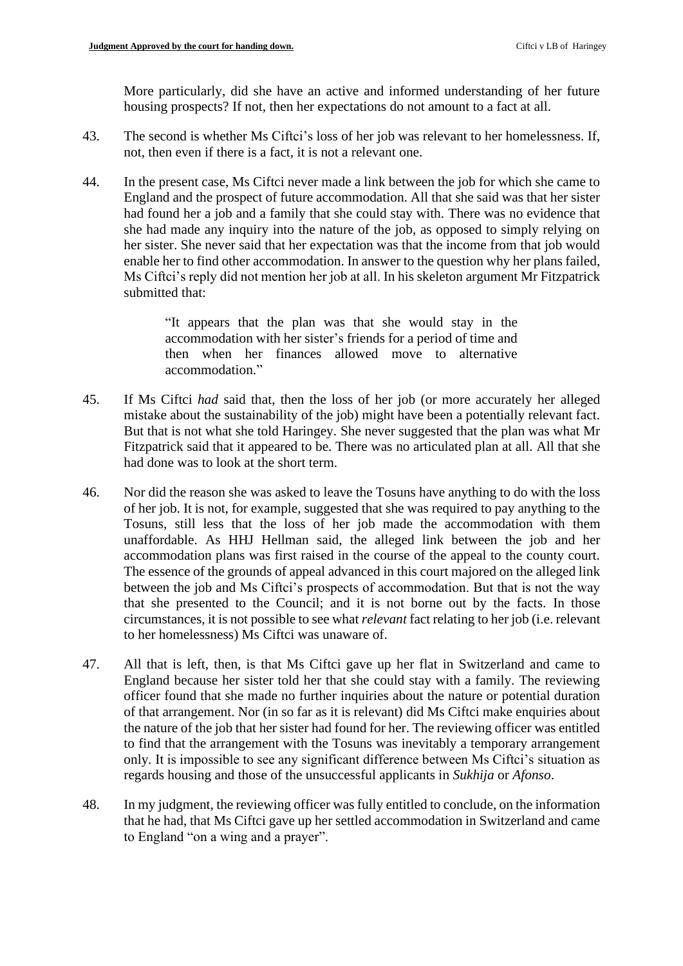More particularly, did she have an active and informed understanding of her future housing prospects? If not, then her expectations do not amount to a fact at all.

- 43. The second is whether Ms Ciftci's loss of her job was relevant to her homelessness. If, not, then even if there is a fact, it is not a relevant one.
- 44. In the present case, Ms Ciftci never made a link between the job for which she came to she had made any inquiry into the nature of the job, as opposed to simply relying on England and the prospect of future accommodation. All that she said was that her sister had found her a job and a family that she could stay with. There was no evidence that her sister. She never said that her expectation was that the income from that job would enable her to find other accommodation. In answer to the question why her plans failed, Ms Ciftci's reply did not mention her job at all. In his skeleton argument Mr Fitzpatrick submitted that:

"It appears that the plan was that she would stay in the accommodation with her sister's friends for a period of time and then when her finances allowed move to alternative accommodation."

- 45. If Ms Ciftci *had* said that, then the loss of her job (or more accurately her alleged But that is not what she told Haringey. She never suggested that the plan was what Mr mistake about the sustainability of the job) might have been a potentially relevant fact. Fitzpatrick said that it appeared to be. There was no articulated plan at all. All that she had done was to look at the short term.
- of her job. It is not, for example, suggested that she was required to pay anything to the Tosuns, still less that the loss of her job made the accommodation with them accommodation plans was first raised in the course of the appeal to the county court. The essence of the grounds of appeal advanced in this court majored on the alleged link 46. Nor did the reason she was asked to leave the Tosuns have anything to do with the loss unaffordable. As HHJ Hellman said, the alleged link between the job and her between the job and Ms Ciftci's prospects of accommodation. But that is not the way that she presented to the Council; and it is not borne out by the facts. In those circumstances, it is not possible to see what *relevant* fact relating to her job (i.e. relevant to her homelessness) Ms Ciftci was unaware of.
- 47. All that is left, then, is that Ms Ciftci gave up her flat in Switzerland and came to England because her sister told her that she could stay with a family. The reviewing officer found that she made no further inquiries about the nature or potential duration of that arrangement. Nor (in so far as it is relevant) did Ms Ciftci make enquiries about the nature of the job that her sister had found for her. The reviewing officer was entitled to find that the arrangement with the Tosuns was inevitably a temporary arrangement only. It is impossible to see any significant difference between Ms Ciftci's situation as regards housing and those of the unsuccessful applicants in *Sukhija* or *Afonso*.
- that he had, that Ms Ciftci gave up her settled accommodation in Switzerland and came 48. In my judgment, the reviewing officer was fully entitled to conclude, on the information to England "on a wing and a prayer".